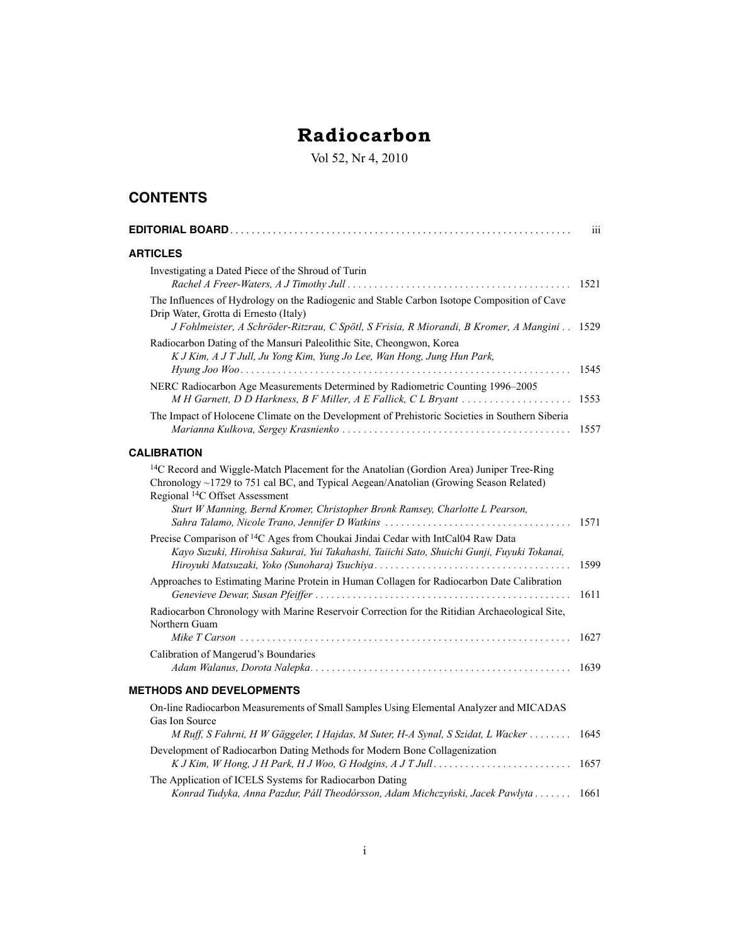## **Radiocarbon**

Vol 52, Nr 4, 2010

## **CONTENTS**

|                                                                                                                                                                                                                                                                                                                              | iii  |
|------------------------------------------------------------------------------------------------------------------------------------------------------------------------------------------------------------------------------------------------------------------------------------------------------------------------------|------|
| <b>ARTICLES</b>                                                                                                                                                                                                                                                                                                              |      |
| Investigating a Dated Piece of the Shroud of Turin                                                                                                                                                                                                                                                                           | 1521 |
| The Influences of Hydrology on the Radiogenic and Stable Carbon Isotope Composition of Cave<br>Drip Water, Grotta di Ernesto (Italy)<br>J Fohlmeister, A Schröder-Ritzrau, C Spötl, S Frisia, R Miorandi, B Kromer, A Mangini 1529                                                                                           |      |
| Radiocarbon Dating of the Mansuri Paleolithic Site, Cheongwon, Korea<br>K J Kim, A J T Jull, Ju Yong Kim, Yung Jo Lee, Wan Hong, Jung Hun Park,<br>.                                                                                                                                                                         | 1545 |
| NERC Radiocarbon Age Measurements Determined by Radiometric Counting 1996-2005<br>M H Garnett, D D Harkness, B F Miller, A E Fallick, C L Bryant                                                                                                                                                                             | 1553 |
| The Impact of Holocene Climate on the Development of Prehistoric Societies in Southern Siberia                                                                                                                                                                                                                               | 1557 |
| <b>CALIBRATION</b>                                                                                                                                                                                                                                                                                                           |      |
| <sup>14</sup> C Record and Wiggle-Match Placement for the Anatolian (Gordion Area) Juniper Tree-Ring<br>Chronology ~1729 to 751 cal BC, and Typical Aegean/Anatolian (Growing Season Related)<br>Regional <sup>14</sup> C Offset Assessment<br>Sturt W Manning, Bernd Kromer, Christopher Bronk Ramsey, Charlotte L Pearson, |      |
|                                                                                                                                                                                                                                                                                                                              | 1571 |
| Precise Comparison of <sup>14</sup> C Ages from Choukai Jindai Cedar with IntCal04 Raw Data<br>Kayo Suzuki, Hirohisa Sakurai, Yui Takahashi, Taiichi Sato, Shuichi Gunji, Fuyuki Tokanai,                                                                                                                                    | 1599 |
| Approaches to Estimating Marine Protein in Human Collagen for Radiocarbon Date Calibration                                                                                                                                                                                                                                   | 1611 |
| Radiocarbon Chronology with Marine Reservoir Correction for the Ritidian Archaeological Site,<br>Northern Guam                                                                                                                                                                                                               | 1627 |
| Calibration of Mangerud's Boundaries                                                                                                                                                                                                                                                                                         | 1639 |
| <b>METHODS AND DEVELOPMENTS</b>                                                                                                                                                                                                                                                                                              |      |
| On-line Radiocarbon Measurements of Small Samples Using Elemental Analyzer and MICADAS<br>Gas Ion Source<br>M Ruff, S Fahrni, H W Gäggeler, I Hajdas, M Suter, H-A Synal, S Szidat, L Wacker                                                                                                                                 | 1645 |
| Development of Radiocarbon Dating Methods for Modern Bone Collagenization                                                                                                                                                                                                                                                    | 1657 |
| The Application of ICELS Systems for Radiocarbon Dating<br>Konrad Tudyka, Anna Pazdur, Páll Theodórsson, Adam Michczyński, Jacek Pawlyta                                                                                                                                                                                     | 1661 |